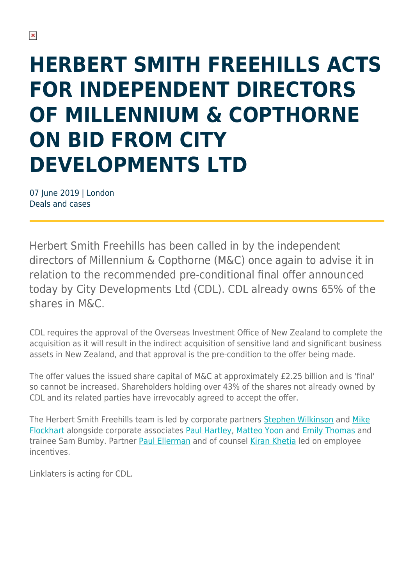## **HERBERT SMITH FREEHILLS ACTS FOR INDEPENDENT DIRECTORS OF MILLENNIUM & COPTHORNE ON BID FROM CITY DEVELOPMENTS LTD**

07 June 2019 | London Deals and cases

Herbert Smith Freehills has been called in by the independent directors of Millennium & Copthorne (M&C) once again to advise it in relation to the recommended pre-conditional final offer announced today by City Developments Ltd (CDL). CDL already owns 65% of the shares in M&C.

CDL requires the approval of the Overseas Investment Office of New Zealand to complete the acquisition as it will result in the indirect acquisition of sensitive land and significant business assets in New Zealand, and that approval is the pre-condition to the offer being made.

The offer values the issued share capital of M&C at approximately £2.25 billion and is 'final' so cannot be increased. Shareholders holding over 43% of the shares not already owned by CDL and its related parties have irrevocably agreed to accept the offer.

The Herbert Smith Freehills team is led by corporate partners [Stephen Wilkinson](https://www.herbertsmithfreehills.com/our-people/stephen-wilkinson) and [Mike](https://www.herbertsmithfreehills.com/our-people/mike-flockhart) [Flockhart](https://www.herbertsmithfreehills.com/our-people/mike-flockhart) alongside corporate associates [Paul Hartley](https://www.herbertsmithfreehills.com/our-people/paul-hartley), [Matteo Yoon](https://www.herbertsmithfreehills.com/our-people/matteo-yoon) and [Emily Thomas](https://www.herbertsmithfreehills.com/our-people/emily-thomas) and trainee Sam Bumby. Partner [Paul Ellerman](https://www.herbertsmithfreehills.com/our-people/paul-ellerman) and of counsel [Kiran Khetia](https://www.herbertsmithfreehills.com/our-people/kiran-khetia) led on employee incentives.

Linklaters is acting for CDL.